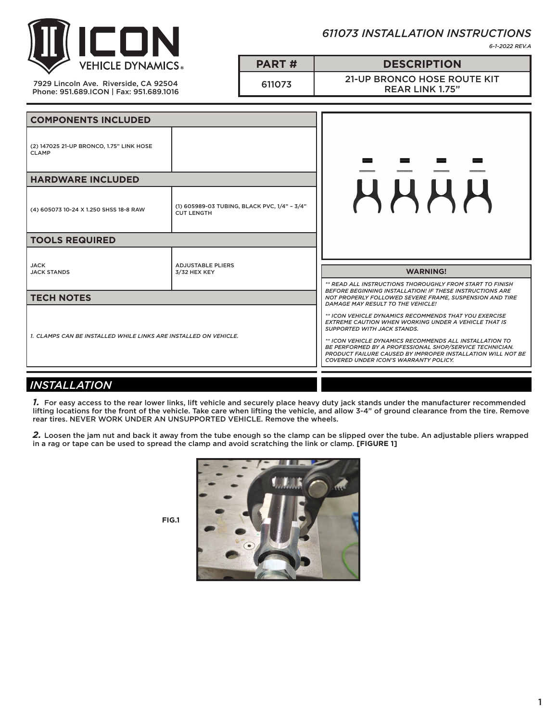

*611073 INSTALLATION INSTRUCTIONS*

*6-1-2022 REV.A*

7929 Lincoln Ave. Riverside, CA 92504 Phone: 951.689.ICON | Fax: 951.689.1016 611073 21-UP BRONCO HOSE ROUTE KIT REAR LINK 1.75"

**PART # DESCRIPTION**

| <b>COMPONENTS INCLUDED</b>                                       |                                                                   |                                                                                                                                                                                                                                                                                                                                                                                                 |
|------------------------------------------------------------------|-------------------------------------------------------------------|-------------------------------------------------------------------------------------------------------------------------------------------------------------------------------------------------------------------------------------------------------------------------------------------------------------------------------------------------------------------------------------------------|
| (2) 147025 21-UP BRONCO, 1.75" LINK HOSE<br><b>CLAMP</b>         |                                                                   |                                                                                                                                                                                                                                                                                                                                                                                                 |
| <b>HARDWARE INCLUDED</b>                                         |                                                                   |                                                                                                                                                                                                                                                                                                                                                                                                 |
| (4) 605073 10-24 X 1.250 SHSS 18-8 RAW                           | (1) 605989-03 TUBING, BLACK PVC, 1/4" - 3/4"<br><b>CUT LENGTH</b> | HHHH                                                                                                                                                                                                                                                                                                                                                                                            |
| <b>TOOLS REQUIRED</b>                                            |                                                                   |                                                                                                                                                                                                                                                                                                                                                                                                 |
| <b>JACK</b><br><b>JACK STANDS</b>                                | <b>ADJUSTABLE PLIERS</b><br>3/32 HEX KEY                          | <b>WARNING!</b>                                                                                                                                                                                                                                                                                                                                                                                 |
| <b>TECH NOTES</b>                                                |                                                                   | ** READ ALL INSTRUCTIONS THOROUGHLY FROM START TO FINISH<br><b>BEFORE BEGINNING INSTALLATION! IF THESE INSTRUCTIONS ARE</b><br>NOT PROPERLY FOLLOWED SEVERE FRAME, SUSPENSION AND TIRE<br>DAMAGE MAY RESULT TO THE VEHICLE!                                                                                                                                                                     |
| 1. CLAMPS CAN BE INSTALLED WHILE LINKS ARE INSTALLED ON VEHICLE. |                                                                   | ** ICON VEHICLE DYNAMICS RECOMMENDS THAT YOU EXERCISE<br><b>EXTREME CAUTION WHEN WORKING UNDER A VEHICLE THAT IS</b><br><b>SUPPORTED WITH JACK STANDS.</b><br>** ICON VEHICLE DYNAMICS RECOMMENDS ALL INSTALLATION TO<br>BE PERFORMED BY A PROFESSIONAL SHOP/SERVICE TECHNICIAN.<br><b>PRODUCT FAILURE CAUSED BY IMPROPER INSTALLATION WILL NOT BE</b><br>COVERED UNDER ICON'S WARRANTY POLICY. |
| <b>INSTALLATION</b>                                              |                                                                   |                                                                                                                                                                                                                                                                                                                                                                                                 |

*1.* For easy access to the rear lower links, lift vehicle and securely place heavy duty jack stands under the manufacturer recommended lifting locations for the front of the vehicle. Take care when lifting the vehicle, and allow 3-4" of ground clearance from the tire. Remove rear tires. NEVER WORK UNDER AN UNSUPPORTED VEHICLE. Remove the wheels.

*2.* Loosen the jam nut and back it away from the tube enough so the clamp can be slipped over the tube. An adjustable pliers wrapped in a rag or tape can be used to spread the clamp and avoid scratching the link or clamp. **[FIGURE 1]**



**FIG.1**